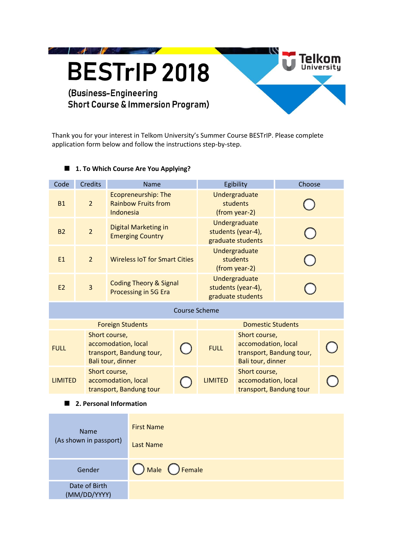

**SOF** 

# (Business-Engineering **Short Course & Immersion Program)**

Thank you for your interest in Telkom University's Summer Course BESTrIP. Please complete application form below and follow the instructions step-by-step.

**Telkom**<br><sup>University</sup>

# **1. To Which Course Are You Applying?**

| Code                    | <b>Credits</b>          | Name                                                                                  |                   |                                            | Egibility                                                |                                                                                       | Choose |  |  |  |
|-------------------------|-------------------------|---------------------------------------------------------------------------------------|-------------------|--------------------------------------------|----------------------------------------------------------|---------------------------------------------------------------------------------------|--------|--|--|--|
| <b>B1</b>               | $\overline{2}$          | <b>Ecopreneurship: The</b><br><b>Rainbow Fruits from</b><br>Indonesia                 |                   |                                            | Undergraduate<br>students<br>(from year-2)               |                                                                                       |        |  |  |  |
| <b>B2</b>               | $\overline{2}$          | Digital Marketing in<br><b>Emerging Country</b>                                       |                   |                                            | Undergraduate<br>students (year-4),<br>graduate students |                                                                                       |        |  |  |  |
| E1                      | $\overline{2}$          | <b>Wireless IoT for Smart Cities</b>                                                  |                   | Undergraduate<br>students<br>(from year-2) |                                                          |                                                                                       |        |  |  |  |
| E2                      | $\overline{\mathbf{3}}$ | <b>Coding Theory &amp; Signal</b><br>Processing in 5G Era                             |                   |                                            | Undergraduate<br>students (year-4),<br>graduate students |                                                                                       |        |  |  |  |
| <b>Course Scheme</b>    |                         |                                                                                       |                   |                                            |                                                          |                                                                                       |        |  |  |  |
|                         |                         | <b>Foreign Students</b>                                                               |                   |                                            | <b>Domestic Students</b>                                 |                                                                                       |        |  |  |  |
| <b>FULL</b>             |                         | Short course,<br>accomodation, local<br>transport, Bandung tour,<br>Bali tour, dinner |                   |                                            | <b>FULL</b>                                              | Short course,<br>accomodation, local<br>transport, Bandung tour,<br>Bali tour, dinner |        |  |  |  |
| <b>LIMITED</b>          |                         | Short course,<br>accomodation, local<br>transport, Bandung tour                       |                   |                                            | <b>LIMITED</b>                                           | Short course,<br>accomodation, local<br>transport, Bandung tour                       |        |  |  |  |
| 2. Personal Information |                         |                                                                                       |                   |                                            |                                                          |                                                                                       |        |  |  |  |
|                         |                         |                                                                                       | <b>First Name</b> |                                            |                                                          |                                                                                       |        |  |  |  |

| <b>Name</b><br>(As shown in passport) | <b>First Name</b><br>Last Name |
|---------------------------------------|--------------------------------|
| Gender                                | O Male O Female                |
| Date of Birth<br>(MM/DD/YYYY)         |                                |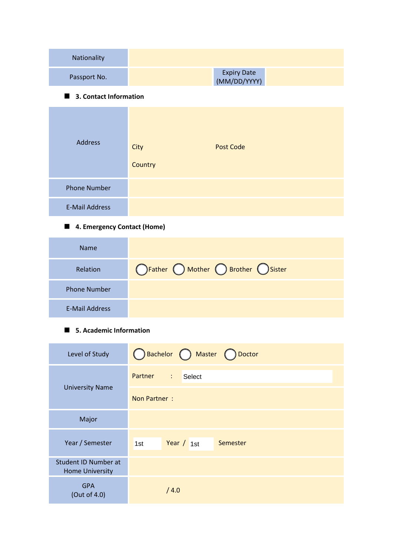| Nationality                 |                                     |  |  |  |  |
|-----------------------------|-------------------------------------|--|--|--|--|
| Passport No.                | <b>Expiry Date</b><br>(MM/DD/YYYY)  |  |  |  |  |
| 3. Contact Information      |                                     |  |  |  |  |
| <b>Address</b>              | <b>Post Code</b><br>City<br>Country |  |  |  |  |
| <b>Phone Number</b>         |                                     |  |  |  |  |
| <b>E-Mail Address</b>       |                                     |  |  |  |  |
| 4. Emergency Contact (Home) |                                     |  |  |  |  |
| <b>Name</b>                 |                                     |  |  |  |  |
| Relation                    | OFather O Mother O Brother O Sister |  |  |  |  |
| <b>Phone Number</b>         |                                     |  |  |  |  |

## **5. Academic Information**

E-Mail Address

| Level of Study                                 | Bachelor Master Doctor                         |  |  |  |  |  |
|------------------------------------------------|------------------------------------------------|--|--|--|--|--|
|                                                | <b>Partner</b><br>$\ddot{\ddot{}}$ .<br>Select |  |  |  |  |  |
| <b>University Name</b>                         | Non Partner:                                   |  |  |  |  |  |
| Major                                          |                                                |  |  |  |  |  |
| Year / Semester                                | Year $/1st$<br>Semester<br>1st                 |  |  |  |  |  |
| Student ID Number at<br><b>Home University</b> |                                                |  |  |  |  |  |
| <b>GPA</b><br>(Out of 4.0)                     | /4.0                                           |  |  |  |  |  |